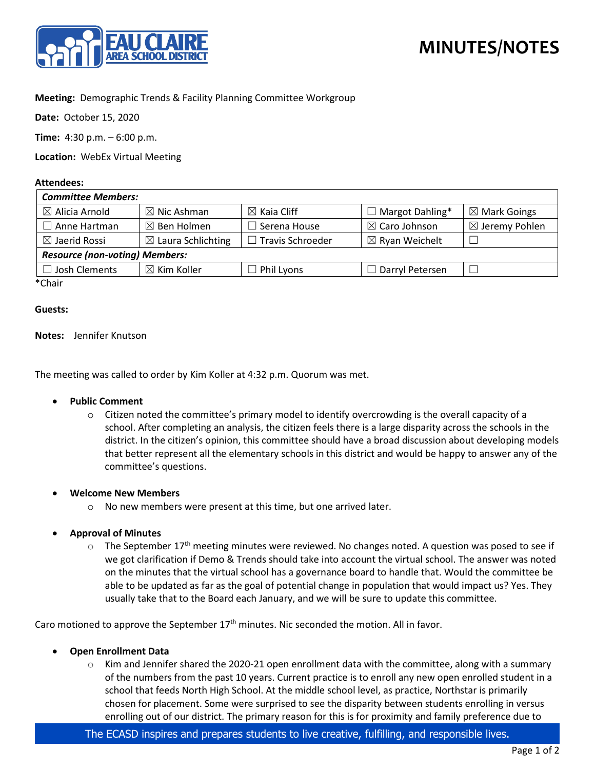

# **MINUTES/NOTES**

## **Meeting:** Demographic Trends & Facility Planning Committee Workgroup

**Date:** October 15, 2020

**Time:** 4:30 p.m. – 6:00 p.m.

**Location:** WebEx Virtual Meeting

#### **Attendees:**

| <b>Committee Members:</b>             |                               |                        |                           |                           |
|---------------------------------------|-------------------------------|------------------------|---------------------------|---------------------------|
| $\boxtimes$ Alicia Arnold             | $\boxtimes$ Nic Ashman        | $\boxtimes$ Kaia Cliff | $\Box$ Margot Dahling*    | $\boxtimes$ Mark Goings   |
| Anne Hartman                          | $\boxtimes$ Ben Holmen        | $\Box$ Serena House    | $\boxtimes$ Caro Johnson  | $\boxtimes$ Jeremy Pohlen |
| $\boxtimes$ Jaerid Rossi              | $\boxtimes$ Laura Schlichting | Travis Schroeder       | $\boxtimes$ Ryan Weichelt |                           |
| <b>Resource (non-voting) Members:</b> |                               |                        |                           |                           |
| $\Box$ Josh Clements                  | $\boxtimes$ Kim Koller        | Phil Lyons             | $\Box$ Darryl Petersen    |                           |
| $*$ $\sim$ $\sim$ $\sim$              |                               |                        |                           |                           |

\*Chair

#### **Guests:**

#### **Notes:** Jennifer Knutson

The meeting was called to order by Kim Koller at 4:32 p.m. Quorum was met.

### • **Public Comment**

 $\circ$  Citizen noted the committee's primary model to identify overcrowding is the overall capacity of a school. After completing an analysis, the citizen feels there is a large disparity across the schools in the district. In the citizen's opinion, this committee should have a broad discussion about developing models that better represent all the elementary schools in this district and would be happy to answer any of the committee's questions.

#### • **Welcome New Members**

o No new members were present at this time, but one arrived later.

## • **Approval of Minutes**

 $\circ$  The September 17<sup>th</sup> meeting minutes were reviewed. No changes noted. A question was posed to see if we got clarification if Demo & Trends should take into account the virtual school. The answer was noted on the minutes that the virtual school has a governance board to handle that. Would the committee be able to be updated as far as the goal of potential change in population that would impact us? Yes. They usually take that to the Board each January, and we will be sure to update this committee.

Caro motioned to approve the September 17<sup>th</sup> minutes. Nic seconded the motion. All in favor.

- **Open Enrollment Data**
	- $\circ$  Kim and Jennifer shared the 2020-21 open enrollment data with the committee, along with a summary of the numbers from the past 10 years. Current practice is to enroll any new open enrolled student in a school that feeds North High School. At the middle school level, as practice, Northstar is primarily chosen for placement. Some were surprised to see the disparity between students enrolling in versus enrolling out of our district. The primary reason for this is for proximity and family preference due to